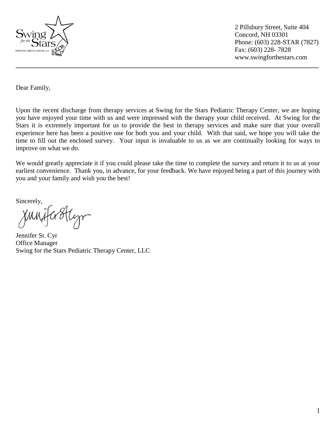

 2 Pillsbury Street, Suite 404 Concord, NH 03301 Phone: (603) 228-STAR (7827) Fax: (603) 228- 7828 www.swingforthestars.com

Dear Family,

Upon the recent discharge from therapy services at Swing for the Stars Pediatric Therapy Center, we are hoping you have enjoyed your time with us and were impressed with the therapy your child received. At Swing for the Stars it is extremely important for us to provide the best in therapy services and make sure that your overall experience here has been a positive one for both you and your child. With that said, we hope you will take the time to fill out the enclosed survey. Your input is invaluable to us as we are continually looking for ways to improve on what we do.

**\_\_\_\_\_\_\_\_\_\_\_\_\_\_\_\_\_\_\_\_\_\_\_\_\_\_\_\_\_\_\_\_\_\_\_\_\_\_\_\_\_\_\_\_\_\_\_\_\_\_\_\_\_\_\_\_\_\_\_\_\_\_\_\_\_\_\_\_\_\_\_\_\_\_\_\_\_\_\_\_\_\_\_\_\_\_\_\_\_\_\_\_**

We would greatly appreciate it if you could please take the time to complete the survey and return it to us at your earliest convenience. Thank you, in advance, for your feedback. We have enjoyed being a part of this journey with you and your family and wish you the best!

Sincerely,

Jennifer St. Cyr Office Manager Swing for the Stars Pediatric Therapy Center, LLC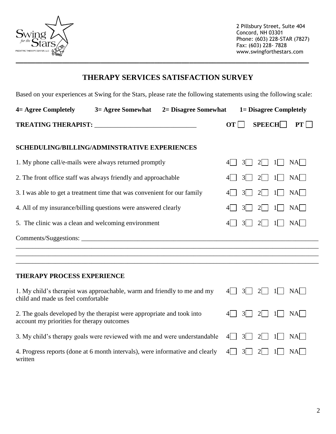

 2 Pillsbury Street, Suite 404 Concord, NH 03301 Phone: (603) 228-STAR (7827) Fax: (603) 228- 7828 www.swingforthestars.com

## **THERAPY SERVICES SATISFACTION SURVEY**

Based on your experiences at Swing for the Stars, please rate the following statements using the following scale:

| 4 = Agree Completely       | 3 = Agree Somewhat | 2 = Disagree Somewhat |            | 1 = Disagree Completely |           |
|----------------------------|--------------------|-----------------------|------------|-------------------------|-----------|
| <b>TREATING THERAPIST:</b> |                    |                       | $OT \perp$ | $\mathbf{SPEECH}$       | $\bf{PT}$ |

## **SCHEDULING/BILLING/ADMINSTRATIVE EXPERIENCES**

| 1. My phone call/e-mails were always returned promptly                   | $3$   2   1   NA                                                        |  |  |  |
|--------------------------------------------------------------------------|-------------------------------------------------------------------------|--|--|--|
| 2. The front office staff was always friendly and approachable           | NA<br>$4 \begin{array}{ c c c c c c } \hline 3 & 3 & 2 & 1 \end{array}$ |  |  |  |
| 3. I was able to get a treatment time that was convenient for our family | NA<br>$4 \mid 3 \mid 2 \mid 1 \mid$                                     |  |  |  |
| 4. All of my insurance/billing questions were answered clearly           | $NA$  <br>$4\begin{bmatrix} 3 & 2 \end{bmatrix}$ 1                      |  |  |  |
| 5. The clinic was a clean and welcoming environment                      | NA<br>$4$   3   <br>$2 $ $1 $                                           |  |  |  |
|                                                                          |                                                                         |  |  |  |
|                                                                          |                                                                         |  |  |  |
|                                                                          |                                                                         |  |  |  |

## **THERAPY PROCESS EXPERIENCE**

1. My child's therapist was approachable, warm and friendly to me and my child and made us feel comfortable

2. The goals developed by the therapist were appropriate and took into account my priorities for therapy outcomes

3. My child's therapy goals were reviewed with me and were understandable

|  |  | $4 \square$ $3 \square$ $2 \square$ $1 \square$ $NA \square$ |
|--|--|--------------------------------------------------------------|
|  |  | $4 \square$ 3 2 1 NA                                         |
|  |  | $4 \square$ 3 2 1 NA                                         |
|  |  | $4 \square$ 3 2 1 NA                                         |

4. Progress reports (done at 6 month intervals), were informative and clearly written